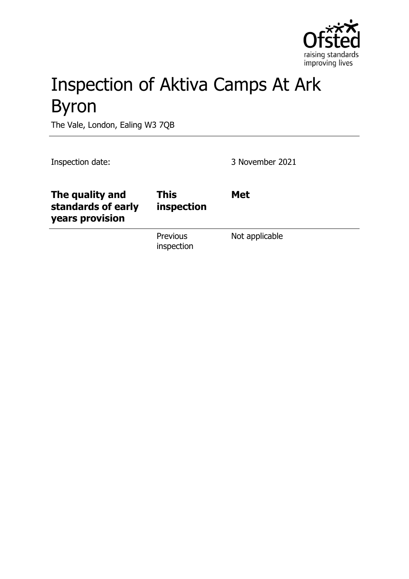

# Inspection of Aktiva Camps At Ark Byron

The Vale, London, Ealing W3 7QB

Inspection date: 3 November 2021

| The quality and<br>standards of early<br>years provision | <b>This</b><br>inspection     | <b>Met</b>     |
|----------------------------------------------------------|-------------------------------|----------------|
|                                                          | <b>Previous</b><br>inspection | Not applicable |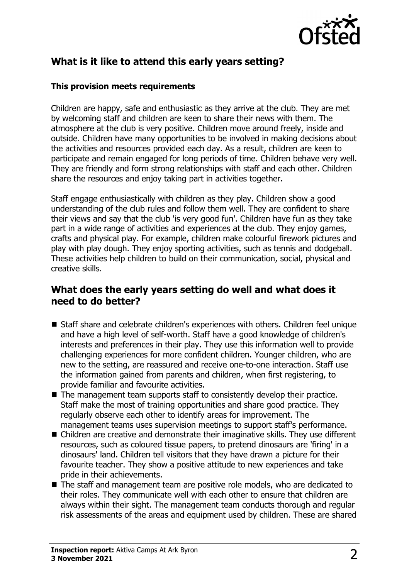

# **What is it like to attend this early years setting?**

#### **This provision meets requirements**

Children are happy, safe and enthusiastic as they arrive at the club. They are met by welcoming staff and children are keen to share their news with them. The atmosphere at the club is very positive. Children move around freely, inside and outside. Children have many opportunities to be involved in making decisions about the activities and resources provided each day. As a result, children are keen to participate and remain engaged for long periods of time. Children behave very well. They are friendly and form strong relationships with staff and each other. Children share the resources and enjoy taking part in activities together.

Staff engage enthusiastically with children as they play. Children show a good understanding of the club rules and follow them well. They are confident to share their views and say that the club 'is very good fun'. Children have fun as they take part in a wide range of activities and experiences at the club. They enjoy games, crafts and physical play. For example, children make colourful firework pictures and play with play dough. They enjoy sporting activities, such as tennis and dodgeball. These activities help children to build on their communication, social, physical and creative skills.

## **What does the early years setting do well and what does it need to do better?**

- Staff share and celebrate children's experiences with others. Children feel unique and have a high level of self-worth. Staff have a good knowledge of children's interests and preferences in their play. They use this information well to provide challenging experiences for more confident children. Younger children, who are new to the setting, are reassured and receive one-to-one interaction. Staff use the information gained from parents and children, when first registering, to provide familiar and favourite activities.
- $\blacksquare$  The management team supports staff to consistently develop their practice. Staff make the most of training opportunities and share good practice. They regularly observe each other to identify areas for improvement. The management teams uses supervision meetings to support staff's performance.
- Children are creative and demonstrate their imaginative skills. They use different resources, such as coloured tissue papers, to pretend dinosaurs are 'firing' in a dinosaurs' land. Children tell visitors that they have drawn a picture for their favourite teacher. They show a positive attitude to new experiences and take pride in their achievements.
- The staff and management team are positive role models, who are dedicated to their roles. They communicate well with each other to ensure that children are always within their sight. The management team conducts thorough and regular risk assessments of the areas and equipment used by children. These are shared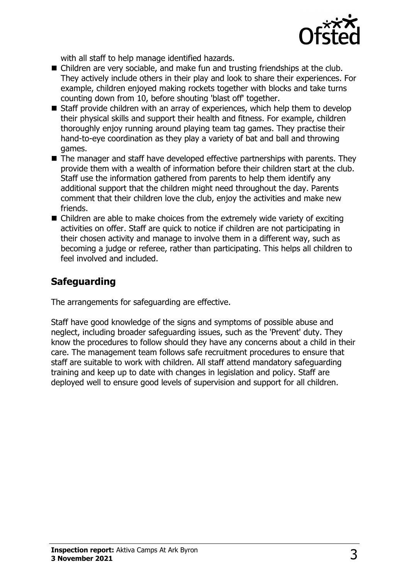

with all staff to help manage identified hazards.

- $\blacksquare$  Children are very sociable, and make fun and trusting friendships at the club. They actively include others in their play and look to share their experiences. For example, children enjoyed making rockets together with blocks and take turns counting down from 10, before shouting 'blast off' together.
- $\blacksquare$  Staff provide children with an array of experiences, which help them to develop their physical skills and support their health and fitness. For example, children thoroughly enjoy running around playing team tag games. They practise their hand-to-eye coordination as they play a variety of bat and ball and throwing games.
- $\blacksquare$  The manager and staff have developed effective partnerships with parents. They provide them with a wealth of information before their children start at the club. Staff use the information gathered from parents to help them identify any additional support that the children might need throughout the day. Parents comment that their children love the club, enjoy the activities and make new friends.
- $\blacksquare$  Children are able to make choices from the extremely wide variety of exciting activities on offer. Staff are quick to notice if children are not participating in their chosen activity and manage to involve them in a different way, such as becoming a judge or referee, rather than participating. This helps all children to feel involved and included.

# **Safeguarding**

The arrangements for safeguarding are effective.

Staff have good knowledge of the signs and symptoms of possible abuse and neglect, including broader safeguarding issues, such as the 'Prevent' duty. They know the procedures to follow should they have any concerns about a child in their care. The management team follows safe recruitment procedures to ensure that staff are suitable to work with children. All staff attend mandatory safeguarding training and keep up to date with changes in legislation and policy. Staff are deployed well to ensure good levels of supervision and support for all children.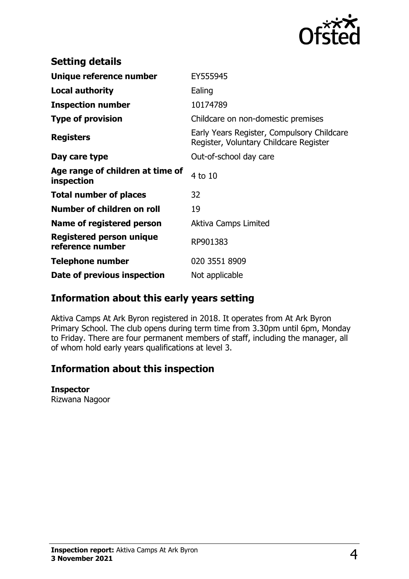

| <b>Setting details</b>                         |                                                                                      |
|------------------------------------------------|--------------------------------------------------------------------------------------|
| Unique reference number                        | EY555945                                                                             |
| <b>Local authority</b>                         | Ealing                                                                               |
| <b>Inspection number</b>                       | 10174789                                                                             |
| <b>Type of provision</b>                       | Childcare on non-domestic premises                                                   |
| <b>Registers</b>                               | Early Years Register, Compulsory Childcare<br>Register, Voluntary Childcare Register |
| Day care type                                  | Out-of-school day care                                                               |
| Age range of children at time of<br>inspection | 4 to 10                                                                              |
| <b>Total number of places</b>                  | 32                                                                                   |
| Number of children on roll                     | 19                                                                                   |
| Name of registered person                      | Aktiva Camps Limited                                                                 |
| Registered person unique<br>reference number   | RP901383                                                                             |
| <b>Telephone number</b>                        | 020 3551 8909                                                                        |
| Date of previous inspection                    | Not applicable                                                                       |

## **Information about this early years setting**

Aktiva Camps At Ark Byron registered in 2018. It operates from At Ark Byron Primary School. The club opens during term time from 3.30pm until 6pm, Monday to Friday. There are four permanent members of staff, including the manager, all of whom hold early years qualifications at level 3.

## **Information about this inspection**

#### **Inspector**

Rizwana Nagoor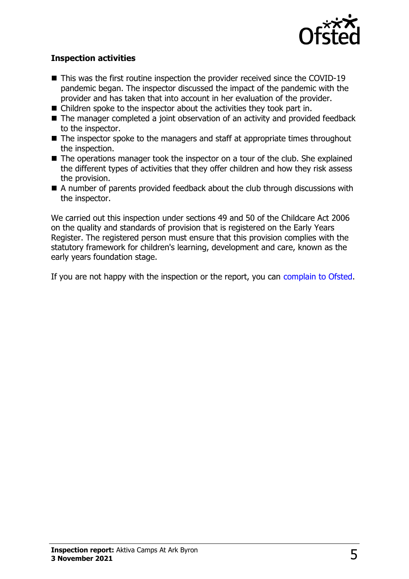

### **Inspection activities**

- $\blacksquare$  This was the first routine inspection the provider received since the COVID-19 pandemic began. The inspector discussed the impact of the pandemic with the provider and has taken that into account in her evaluation of the provider.
- $\blacksquare$  Children spoke to the inspector about the activities they took part in.
- $\blacksquare$  The manager completed a joint observation of an activity and provided feedback to the inspector.
- $\blacksquare$  The inspector spoke to the managers and staff at appropriate times throughout the inspection.
- $\blacksquare$  The operations manager took the inspector on a tour of the club. She explained the different types of activities that they offer children and how they risk assess the provision.
- $\blacksquare$  A number of parents provided feedback about the club through discussions with the inspector.

We carried out this inspection under sections 49 and 50 of the Childcare Act 2006 on the quality and standards of provision that is registered on the Early Years Register. The registered person must ensure that this provision complies with the statutory framework for children's learning, development and care, known as the early years foundation stage.

If you are not happy with the inspection or the report, you can [complain to Ofsted](http://www.gov.uk/complain-ofsted-report).